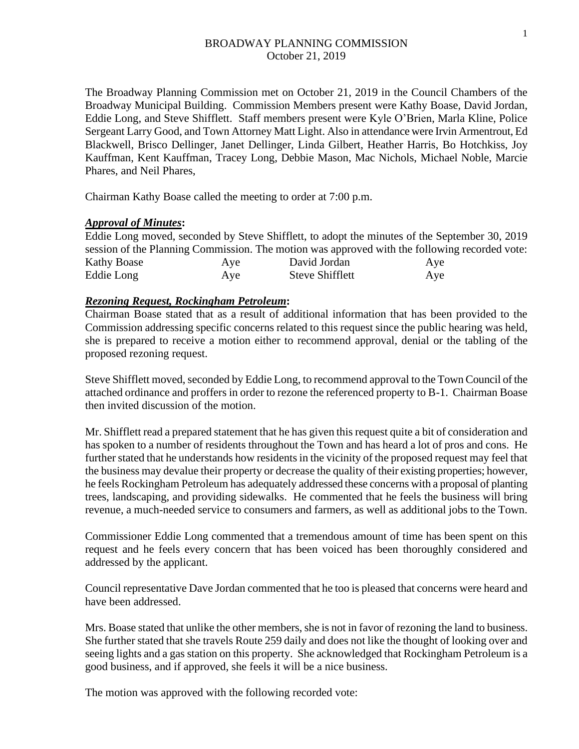The Broadway Planning Commission met on October 21, 2019 in the Council Chambers of the Broadway Municipal Building. Commission Members present were Kathy Boase, David Jordan, Eddie Long, and Steve Shifflett. Staff members present were Kyle O'Brien, Marla Kline, Police Sergeant Larry Good, and Town Attorney Matt Light. Also in attendance were Irvin Armentrout, Ed Blackwell, Brisco Dellinger, Janet Dellinger, Linda Gilbert, Heather Harris, Bo Hotchkiss, Joy Kauffman, Kent Kauffman, Tracey Long, Debbie Mason, Mac Nichols, Michael Noble, Marcie Phares, and Neil Phares,

Chairman Kathy Boase called the meeting to order at 7:00 p.m.

## *Approval of Minutes***:**

Eddie Long moved, seconded by Steve Shifflett, to adopt the minutes of the September 30, 2019 session of the Planning Commission. The motion was approved with the following recorded vote: Kathy Boase Aye David Jordan Aye Eddie Long Aye Steve Shifflett Aye

## *Rezoning Request, Rockingham Petroleum***:**

Chairman Boase stated that as a result of additional information that has been provided to the Commission addressing specific concerns related to this request since the public hearing was held, she is prepared to receive a motion either to recommend approval, denial or the tabling of the proposed rezoning request.

Steve Shifflett moved, seconded by Eddie Long, to recommend approval to the Town Council of the attached ordinance and proffers in order to rezone the referenced property to B-1. Chairman Boase then invited discussion of the motion.

Mr. Shifflett read a prepared statement that he has given this request quite a bit of consideration and has spoken to a number of residents throughout the Town and has heard a lot of pros and cons. He further stated that he understands how residents in the vicinity of the proposed request may feel that the business may devalue their property or decrease the quality of their existing properties; however, he feels Rockingham Petroleum has adequately addressed these concerns with a proposal of planting trees, landscaping, and providing sidewalks. He commented that he feels the business will bring revenue, a much-needed service to consumers and farmers, as well as additional jobs to the Town.

Commissioner Eddie Long commented that a tremendous amount of time has been spent on this request and he feels every concern that has been voiced has been thoroughly considered and addressed by the applicant.

Council representative Dave Jordan commented that he too is pleased that concerns were heard and have been addressed.

Mrs. Boase stated that unlike the other members, she is not in favor of rezoning the land to business. She further stated that she travels Route 259 daily and does not like the thought of looking over and seeing lights and a gas station on this property. She acknowledged that Rockingham Petroleum is a good business, and if approved, she feels it will be a nice business.

The motion was approved with the following recorded vote: